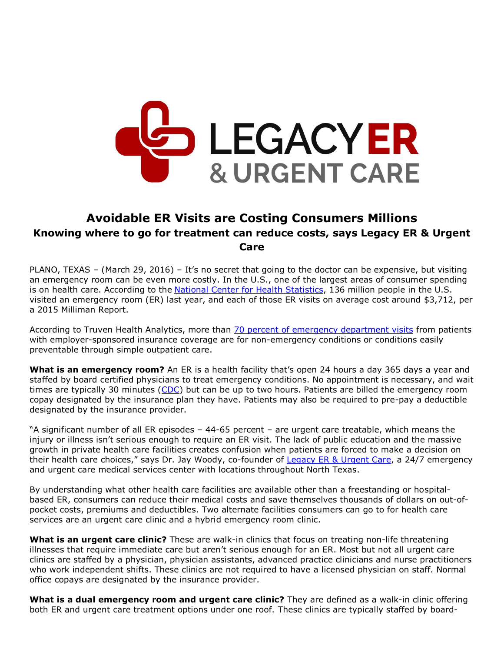

## **Avoidable ER Visits are Costing Consumers Millions Knowing where to go for treatment can reduce costs, says Legacy ER & Urgent Care**

PLANO, TEXAS – (March 29, 2016) – It's no secret that going to the doctor can be expensive, but visiting an emergency room can be even more costly. In the U.S., one of the largest areas of consumer spending is on health care. According to the [National Center for Health Statistics,](http://www.cdc.gov/nchs/fastats/emergency-department.htm) 136 million people in the U.S. visited an emergency room (ER) last year, and each of those ER visits on average cost around \$3,712, per a 2015 Milliman Report.

According to Truven Health Analytics, more than [70 percent of emergency department visits](https://truvenhealth.com/news-and-events/press-releases/detail/prid/113/study-finds-most-emergency-room-visits-made-by-privately-insured-patients-avoidable) from patients with employer-sponsored insurance coverage are for non-emergency conditions or conditions easily preventable through simple outpatient care.

**What is an emergency room?** An ER is a health facility that's open 24 hours a day 365 days a year and staffed by board certified physicians to treat emergency conditions. No appointment is necessary, and wait times are typically 30 minutes [\(CDC\)](http://www.cdc.gov/mmwr/preview/mmwrhtml/mm6319a8.htm) but can be up to two hours. Patients are billed the emergency room copay designated by the insurance plan they have. Patients may also be required to pre-pay a deductible designated by the insurance provider.

"A significant number of all ER episodes – 44-65 percent – are urgent care treatable, which means the injury or illness isn't serious enough to require an ER visit. The lack of public education and the massive growth in private health care facilities creates confusion when patients are forced to make a decision on their health care choices," says Dr. Jay Woody, co-founder of [Legacy ER & Urgent Care,](http://www.legacyer.com/) a 24/7 emergency and urgent care medical services center with locations throughout North Texas.

By understanding what other health care facilities are available other than a freestanding or hospitalbased ER, consumers can reduce their medical costs and save themselves thousands of dollars on out-ofpocket costs, premiums and deductibles. Two alternate facilities consumers can go to for health care services are an urgent care clinic and a hybrid emergency room clinic.

**What is an urgent care clinic?** These are walk-in clinics that focus on treating non-life threatening illnesses that require immediate care but aren't serious enough for an ER. Most but not all urgent care clinics are staffed by a physician, physician assistants, advanced practice clinicians and nurse practitioners who work independent shifts. These clinics are not required to have a licensed physician on staff. Normal office copays are designated by the insurance provider.

**What is a dual emergency room and urgent care clinic?** They are defined as a walk-in clinic offering both ER and urgent care treatment options under one roof. These clinics are typically staffed by board